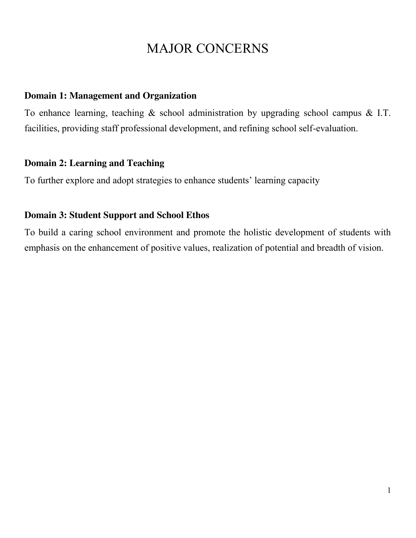## MAJOR CONCERNS

#### **Domain 1: Management and Organization**

To enhance learning, teaching  $\&$  school administration by upgrading school campus  $\&$  I.T. facilities, providing staff professional development, and refining school self-evaluation.

#### **Domain 2: Learning and Teaching**

To further explore and adopt strategies to enhance students' learning capacity

### **Domain 3: Student Support and School Ethos**

To build a caring school environment and promote the holistic development of students with emphasis on the enhancement of positive values, realization of potential and breadth of vision.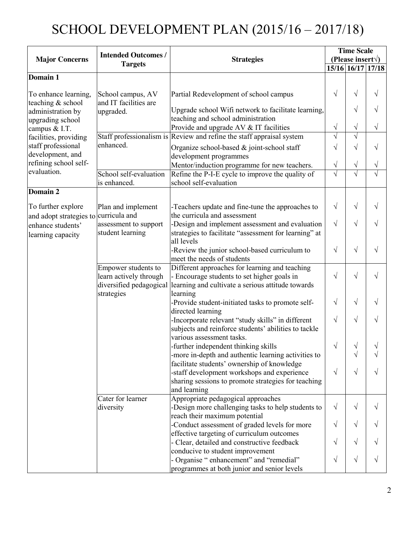# SCHOOL DEVELOPMENT PLAN (2015/16 – 2017/18)

| <b>Major Concerns</b>   | <b>Intended Outcomes /</b>            | <b>Strategies</b>                                                     | <b>Time Scale</b>          |           |                   |
|-------------------------|---------------------------------------|-----------------------------------------------------------------------|----------------------------|-----------|-------------------|
|                         |                                       |                                                                       | (Please insert $\forall$ ) |           |                   |
|                         | <b>Targets</b>                        |                                                                       |                            |           | 15/16 16/17 17/18 |
| Domain 1                |                                       |                                                                       |                            |           |                   |
|                         |                                       |                                                                       |                            |           |                   |
| To enhance learning,    | School campus, AV                     | Partial Redevelopment of school campus                                | $\sqrt{}$                  | $\sqrt{}$ | $\sqrt{}$         |
| teaching & school       | and IT facilities are                 |                                                                       |                            |           |                   |
| administration by       | upgraded.                             | Upgrade school Wifi network to facilitate learning,                   |                            | $\sqrt{}$ | $\sqrt{}$         |
| upgrading school        |                                       | teaching and school administration                                    |                            |           |                   |
| campus & I.T.           |                                       | Provide and upgrade AV & IT facilities                                | $\sqrt{}$                  | $\sqrt{}$ | $\sqrt{}$         |
| facilities, providing   |                                       | Staff professionalism is Review and refine the staff appraisal system | $\sqrt{}$                  | $\sqrt{}$ |                   |
| staff professional      | enhanced.                             | Organize school-based & joint-school staff                            | V                          | $\sqrt{}$ | $\sqrt{}$         |
| development, and        |                                       | development programmes                                                |                            |           |                   |
| refining school self-   |                                       | Mentor/induction programme for new teachers.                          | V                          | $\sqrt{}$ | V                 |
| evaluation.             | School self-evaluation                | Refine the P-I-E cycle to improve the quality of                      | V                          | $\sqrt{}$ | V                 |
|                         | is enhanced.                          | school self-evaluation                                                |                            |           |                   |
| Domain 2                |                                       |                                                                       |                            |           |                   |
|                         |                                       |                                                                       |                            |           |                   |
| To further explore      | Plan and implement                    | -Teachers update and fine-tune the approaches to                      | V                          | $\sqrt{}$ | $\sqrt{}$         |
| and adopt strategies to | curricula and                         | the curricula and assessment                                          |                            |           |                   |
| enhance students'       | assessment to support                 | -Design and implement assessment and evaluation                       | $\sqrt{ }$                 | $\sqrt{}$ | $\sqrt{}$         |
| learning capacity       | student learning                      | strategies to facilitate "assessment for learning" at                 |                            |           |                   |
|                         |                                       | all levels                                                            |                            |           |                   |
|                         |                                       | -Review the junior school-based curriculum to                         | $\sqrt{}$                  | $\sqrt{}$ | $\sqrt{}$         |
|                         |                                       | meet the needs of students                                            |                            |           |                   |
|                         | Empower students to                   | Different approaches for learning and teaching                        |                            | $\sqrt{}$ | $\sqrt{}$         |
|                         | learn actively through                | - Encourage students to set higher goals in                           | $\sqrt{}$                  |           |                   |
|                         | diversified pedagogical<br>strategies | learning and cultivate a serious attitude towards<br>learning         |                            |           |                   |
|                         |                                       | -Provide student-initiated tasks to promote self-                     | $\sqrt{}$                  | $\sqrt{}$ | V                 |
|                         |                                       | directed learning                                                     |                            |           |                   |
|                         |                                       | -Incorporate relevant "study skills" in different                     | V                          | $\sqrt{}$ | V                 |
|                         |                                       | subjects and reinforce students' abilities to tackle                  |                            |           |                   |
|                         |                                       | various assessment tasks.                                             |                            |           |                   |
|                         |                                       | -further independent thinking skills                                  | $\sqrt{}$                  | V         | V                 |
|                         |                                       | -more in-depth and authentic learning activities to                   |                            | V         | V                 |
|                         |                                       | facilitate students' ownership of knowledge                           |                            |           |                   |
|                         |                                       | -staff development workshops and experience                           | $\sqrt{ }$                 | $\sqrt{}$ | V                 |
|                         |                                       | sharing sessions to promote strategies for teaching                   |                            |           |                   |
|                         |                                       | and learning                                                          |                            |           |                   |
|                         | Cater for learner                     | Appropriate pedagogical approaches                                    |                            |           |                   |
|                         | diversity                             | -Design more challenging tasks to help students to                    | $\sqrt{ }$                 | $\sqrt{}$ | V                 |
|                         |                                       | reach their maximum potential                                         |                            |           |                   |
|                         |                                       | -Conduct assessment of graded levels for more                         | $\sqrt{}$                  | $\sqrt{}$ | V                 |
|                         |                                       | effective targeting of curriculum outcomes                            |                            |           |                   |
|                         |                                       | - Clear, detailed and constructive feedback                           | V                          | $\sqrt{}$ | V                 |
|                         |                                       | conducive to student improvement                                      |                            |           |                   |
|                         |                                       | - Organise "enhancement" and "remedial"                               | $\sqrt{}$                  | $\sqrt{}$ | $\sqrt{}$         |
|                         |                                       | programmes at both junior and senior levels                           |                            |           |                   |